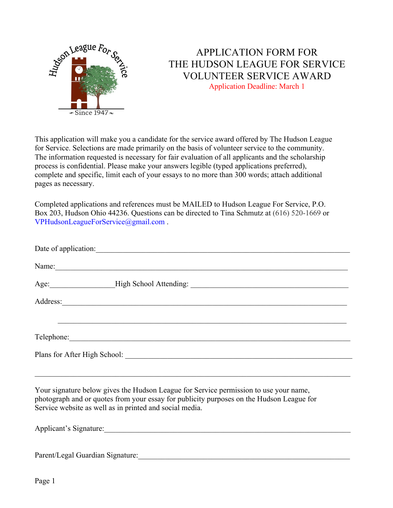

## APPLICATION FORM FOR THE HUDSON LEAGUE FOR SERVICE VOLUNTEER SERVICE AWARD Application Deadline: March 1

This application will make you a candidate for the service award offered by The Hudson League for Service. Selections are made primarily on the basis of volunteer service to the community. The information requested is necessary for fair evaluation of all applicants and the scholarship process is confidential. Please make your answers legible (typed applications preferred), complete and specific, limit each of your essays to no more than 300 words; attach additional pages as necessary.

Completed applications and references must be MAILED to Hudson League For Service, P.O. Box 203, Hudson Ohio 44236. Questions can be directed to Tina Schmutz at (616) 520-1669 or VPHudsonLeagueForService@gmail.com .

|  | Name: |  |  |  |  |
|--|-------|--|--|--|--|
|  |       |  |  |  |  |
|  |       |  |  |  |  |
|  |       |  |  |  |  |
|  |       |  |  |  |  |
|  |       |  |  |  |  |
|  |       |  |  |  |  |

Your signature below gives the Hudson League for Service permission to use your name, photograph and or quotes from your essay for publicity purposes on the Hudson League for Service website as well as in printed and social media.

Applicant's Signature:

Parent/Legal Guardian Signature: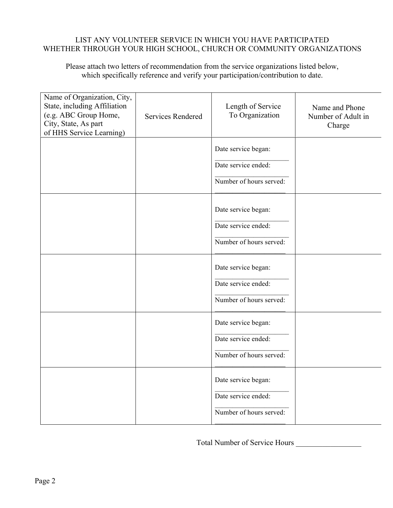## LIST ANY VOLUNTEER SERVICE IN WHICH YOU HAVE PARTICIPATED WHETHER THROUGH YOUR HIGH SCHOOL, CHURCH OR COMMUNITY ORGANIZATIONS

Please attach two letters of recommendation from the service organizations listed below, which specifically reference and verify your participation/contribution to date.

| Name of Organization, City,<br>State, including Affiliation<br>(e.g. ABC Group Home,<br>City, State, As part<br>of HHS Service Learning) | Services Rendered | Length of Service<br>To Organization       | Name and Phone<br>Number of Adult in<br>Charge |
|------------------------------------------------------------------------------------------------------------------------------------------|-------------------|--------------------------------------------|------------------------------------------------|
|                                                                                                                                          |                   | Date service began:<br>Date service ended: |                                                |
|                                                                                                                                          |                   | Number of hours served:                    |                                                |
|                                                                                                                                          |                   | Date service began:<br>Date service ended: |                                                |
|                                                                                                                                          |                   | Number of hours served:                    |                                                |
|                                                                                                                                          |                   | Date service began:                        |                                                |
|                                                                                                                                          |                   | Date service ended:                        |                                                |
|                                                                                                                                          |                   | Number of hours served:                    |                                                |
|                                                                                                                                          |                   | Date service began:                        |                                                |
|                                                                                                                                          |                   | Date service ended:                        |                                                |
|                                                                                                                                          |                   | Number of hours served:                    |                                                |
|                                                                                                                                          |                   | Date service began:                        |                                                |
|                                                                                                                                          |                   | Date service ended:                        |                                                |
|                                                                                                                                          |                   | Number of hours served:                    |                                                |

Total Number of Service Hours \_\_\_\_\_\_\_\_\_\_\_\_\_\_\_\_\_